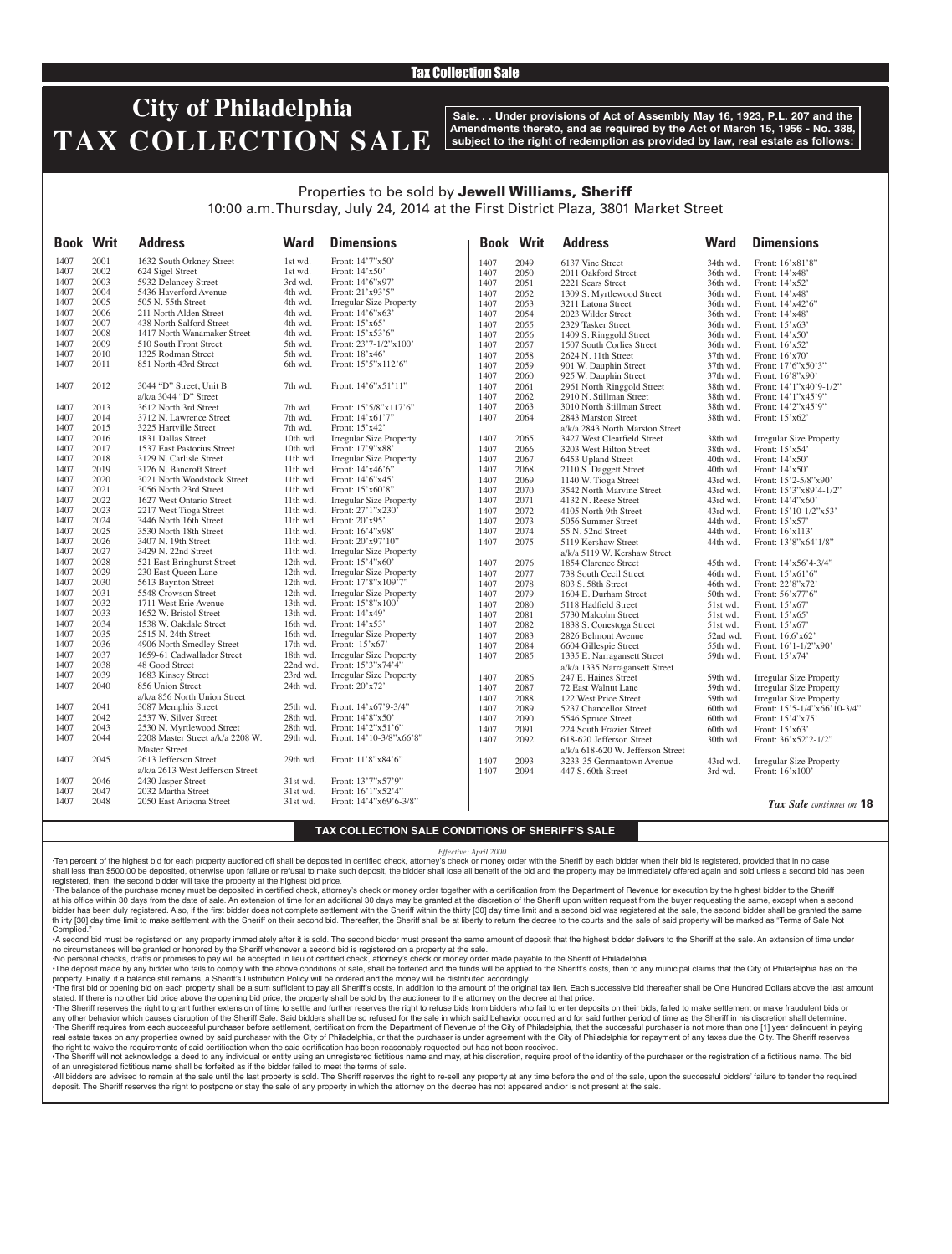### Tax Collection Sale

# **City of Philadelphia TAX COLLECTION SALE**

**Sale. . . Under provisions of Act of Assembly May 16, 1923, P.L. 207 and the Amendments thereto, and as required by the Act of March 15, 1956 - No. 388, subject to the right of redemption as provided by law, real estate as follows:**

### Properties to be sold by Jewell Williams, Sheriff 10:00 a.m. Thursday, July 24, 2014 at the First District Plaza, 3801 Market Street

| <b>Book Writ</b> |      | <b>Address</b>                   | <b>Ward</b> | <b>Dimensions</b>              |      | <b>Book Writ</b> | <b>Address</b>                    | <b>Ward</b> | <b>Dimensions</b>              |
|------------------|------|----------------------------------|-------------|--------------------------------|------|------------------|-----------------------------------|-------------|--------------------------------|
| 1407             | 2001 | 1632 South Orkney Street         | 1st wd.     | Front: 14'7"x50'               | 1407 | 2049             | 6137 Vine Street                  | 34th wd.    | Front: 16'x81'8"               |
| 1407             | 2002 | 624 Sigel Street                 | 1st wd.     | Front: 14'x50'                 | 1407 | 2050             | 2011 Oakford Street               | 36th wd.    | Front: 14'x48'                 |
| 1407             | 2003 | 5932 Delancey Street             | 3rd wd.     | Front: 14'6"x97'               | 1407 | 2051             | 2221 Sears Street                 | 36th wd.    | Front: 14'x52'                 |
| 1407             | 2004 | 5436 Haverford Avenue            | 4th wd.     | Front: 21'x93'5"               | 1407 | 2052             | 1309 S. Myrtlewood Street         | 36th wd.    | Front: 14'x48'                 |
| 1407             | 2005 | 505 N. 55th Street               | 4th wd.     | <b>Irregular Size Property</b> | 1407 | 2053             | 3211 Latona Street                | 36th wd.    | Front: 14'x42'6"               |
| 1407             | 2006 | 211 North Alden Street           | 4th wd.     | Front: 14'6"x63'               | 1407 | 2054             | 2023 Wilder Street                | 36th wd.    | Front: 14'x48'                 |
| 1407             | 2007 | 438 North Salford Street         | 4th wd.     | Front: 15'x65'                 | 1407 | 2055             | 2329 Tasker Street                | 36th wd.    | Front: 15'x63'                 |
| 1407             | 2008 | 1417 North Wanamaker Street      | 4th wd.     | Front: 15'x53'6"               | 1407 | 2056             | 1409 S. Ringgold Street           | 36th wd.    | Front: 14'x50'                 |
| 1407             | 2009 | 510 South Front Street           | 5th wd.     | Front: 23'7-1/2"x100'          | 1407 | 2057             | 1507 South Corlies Street         | 36th wd.    | Front: 16'x52'                 |
| 1407             | 2010 | 1325 Rodman Street               | 5th wd.     | Front: $18'x46'$               | 1407 | 2058             | 2624 N. 11th Street               | 37th wd.    | Front: 16'x70'                 |
| 1407             | 2011 | 851 North 43rd Street            | 6th wd.     | Front: 15'5"x112'6"            | 1407 | 2059             | 901 W. Dauphin Street             | 37th wd.    | Front: 17'6"x50'3"             |
|                  |      |                                  |             |                                | 1407 | 2060             | 925 W. Dauphin Street             | 37th wd.    | Front: 16'8"x90"               |
| 1407             | 2012 | 3044 "D" Street, Unit B          | 7th wd.     | Front: 14'6"x51'11"            | 1407 | 2061             | 2961 North Ringgold Street        | 38th wd.    | Front: 14'1"x40'9-1/2"         |
|                  |      | $a/k/a$ 3044 "D" Street          |             |                                | 1407 | 2062             | 2910 N. Stillman Street           | 38th wd.    | Front: 14'1"x45'9"             |
| 1407             | 2013 | 3612 North 3rd Street            | 7th wd.     | Front: $15'5/8''x117'6''$      | 1407 | 2063             | 3010 North Stillman Street        | 38th wd.    | Front: 14'2"x45'9"             |
| 1407             | 2014 | 3712 N. Lawrence Street          | 7th wd.     | Front: 14'x61'7"               | 1407 | 2064             | 2843 Marston Street               | 38th wd.    | Front: 15'x62'                 |
| 1407             | 2015 | 3225 Hartville Street            | 7th wd.     | Front: 15'x42'                 |      |                  | a/k/a 2843 North Marston Street   |             |                                |
| 1407             | 2016 | 1831 Dallas Street               | 10th wd.    | <b>Irregular Size Property</b> | 1407 | 2065             | 3427 West Clearfield Street       | 38th wd.    | <b>Irregular Size Property</b> |
| 1407             | 2017 | 1537 East Pastorius Street       | 10th wd.    | Front: 17'9"x88'               | 1407 | 2066             | 3203 West Hilton Street           | 38th wd.    | Front: 15'x54'                 |
| 1407             | 2018 | 3129 N. Carlisle Street          | $11th$ wd.  | <b>Irregular Size Property</b> | 1407 | 2067             | 6453 Upland Street                | 40th wd.    | Front: 14'x50'                 |
| 1407             | 2019 | 3126 N. Bancroft Street          | $11th$ wd.  | Front: 14'x46'6"               | 1407 | 2068             | 2110 S. Daggett Street            | 40th wd.    | Front: 14'x50'                 |
| 1407             | 2020 | 3021 North Woodstock Street      | $11th$ wd.  | Front: 14'6"x45'               | 1407 | 2069             | 1140 W. Tioga Street              | 43rd wd.    | Front: 15'2-5/8"x90'           |
| 1407             | 2021 | 3056 North 23rd Street           | 11th wd.    | Front: 15'x60'8"               | 1407 | 2070             | 3542 North Marvine Street         | 43rd wd.    | Front: 15'3"x89'4-1/2"         |
| 1407             | 2022 | 1627 West Ontario Street         | 11th wd.    | <b>Irregular Size Property</b> | 1407 | 2071             | 4132 N. Reese Street              | 43rd wd.    | Front: 14'4"x60'               |
| 1407             | 2023 | 2217 West Tioga Street           | 11th wd.    | Front: 27'1"x230'              | 1407 | 2072             | 4105 North 9th Street             | 43rd wd.    | Front: 15'10-1/2"x53'          |
| 1407             | 2024 | 3446 North 16th Street           | 11th wd.    | Front: 20'x95'                 | 1407 | 2073             | 5056 Summer Street                | 44th wd.    | Front: 15'x57'                 |
| 1407             | 2025 | 3530 North 18th Street           | $11th$ wd.  | Front: 16'4"x98'               | 1407 | 2074             | 55 N. 52nd Street                 | 44th wd.    | Front: 16'x113'                |
| 1407             | 2026 | 3407 N. 19th Street              | 11th wd.    | Front: 20'x97'10"              | 1407 | 2075             | 5119 Kershaw Street               | 44th wd.    | Front: 13'8"x64'1/8"           |
| 1407             | 2027 | 3429 N. 22nd Street              | 11th wd.    | <b>Irregular Size Property</b> |      |                  | a/k/a 5119 W. Kershaw Street      |             |                                |
| 1407             | 2028 | 521 East Bringhurst Street       | 12th wd.    | Front: 15'4"x60"               | 1407 | 2076             | 1854 Clarence Street              | 45th wd.    | Front: $14'x56'4-3/4"$         |
| 1407             | 2029 | 230 East Queen Lane              | 12th wd.    | <b>Irregular Size Property</b> | 1407 | 2077             | 738 South Cecil Street            | 46th wd.    | Front: 15'x61'6"               |
| 1407             | 2030 | 5613 Baynton Street              | 12th wd.    | Front: 17'8"x109'7"            | 1407 | 2078             | 803 S. 58th Street                | 46th wd.    | Front: 22'8"x72'               |
| 1407             | 2031 | 5548 Crowson Street              | $12th$ wd.  | Irregular Size Property        | 1407 | 2079             | 1604 E. Durham Street             | 50th wd.    | Front: 56'x77'6"               |
| 1407             | 2032 | 1711 West Erie Avenue            | 13th wd.    | Front: 15'8"x100'              | 1407 | 2080             | 5118 Hadfield Street              | 51st wd.    | Front: 15'x67'                 |
| 1407             | 2033 | 1652 W. Bristol Street           | 13th wd.    | Front: 14'x49'                 | 1407 | 2081             | 5730 Malcolm Street               | 51st wd.    | Front: 15'x65'                 |
| 1407             | 2034 | 1538 W. Oakdale Street           | $16th$ wd.  | Front: 14'x53'                 | 1407 | 2082             | 1838 S. Conestoga Street          | 51st wd.    | Front: 15'x67'                 |
| 1407             | 2035 | 2515 N. 24th Street              | 16th wd.    | <b>Irregular Size Property</b> | 1407 | 2083             | 2826 Belmont Avenue               | 52nd wd.    | Front: 16.6'x62'               |
| 1407             | 2036 | 4906 North Smedley Street        | 17th wd.    | Front: 15'x67'                 | 1407 | 2084             | 6604 Gillespie Street             | 55th wd.    | Front: 16'1-1/2"x90'           |
| 1407             | 2037 | 1659-61 Cadwallader Street       | 18th wd.    | <b>Irregular Size Property</b> | 1407 | 2085             | 1335 E. Narragansett Street       | 59th wd.    | Front: 15'x74'                 |
| 1407             | 2038 | 48 Good Street                   | 22nd wd.    | Front: 15'3"x74'4"             |      |                  | a/k/a 1335 Narragansett Street    |             |                                |
| 1407             | 2039 | 1683 Kinsey Street               | 23rd wd.    | <b>Irregular Size Property</b> | 1407 | 2086             | 247 E. Haines Street              | 59th wd.    | <b>Irregular Size Property</b> |
| 1407             | 2040 | 856 Union Street                 | 24th wd.    | Front: 20'x72'                 | 1407 | 2087             | 72 East Walnut Lane               | 59th wd.    | <b>Irregular Size Property</b> |
|                  |      | a/k/a 856 North Union Street     |             |                                | 1407 | 2088             | 122 West Price Street             | 59th wd.    | <b>Irregular Size Property</b> |
| 1407             | 2041 | 3087 Memphis Street              | 25th wd.    | Front: 14'x67'9-3/4"           | 1407 | 2089             | 5237 Chancellor Street            | 60th wd.    | Front: 15'5-1/4"x66'10-3/4"    |
| 1407             | 2042 | 2537 W. Silver Street            | 28th wd.    | Front: 14'8"x50"               | 1407 | 2090             | 5546 Spruce Street                | 60th wd.    | Front: 15'4"x75'               |
| 1407             | 2043 | 2530 N. Myrtlewood Street        | 28th wd.    | Front: 14'2"x51'6"             | 1407 | 2091             | 224 South Frazier Street          | 60th wd.    | Front: 15'x63'                 |
| 1407             | 2044 | 2208 Master Street a/k/a 2208 W. | 29th wd.    | Front: 14'10-3/8"x66'8"        | 1407 | 2092             | 618-620 Jefferson Street          | 30th wd.    | Front: 36'x52'2-1/2"           |
|                  |      | <b>Master Street</b>             |             |                                |      |                  | a/k/a 618-620 W. Jefferson Street |             |                                |
| 1407             | 2045 | 2613 Jefferson Street            | 29th wd.    | Front: 11'8"x84'6"             | 1407 | 2093             | 3233-35 Germantown Avenue         | 43rd wd.    | <b>Irregular Size Property</b> |
|                  |      | a/k/a 2613 West Jefferson Street |             |                                | 1407 | 2094             | 447 S. 60th Street                | 3rd wd.     | Front: 16'x100'                |
| 1407             | 2046 | 2430 Jasper Street               | 31st wd.    | Front: 13'7"x57'9"             |      |                  |                                   |             |                                |
| 1407             | 2047 | 2032 Martha Street               | 31st wd.    | Front: 16'1"x52'4"             |      |                  |                                   |             |                                |
| 1407             | 2048 | 2050 East Arizona Street         | 31st wd.    | Front: 14'4"x69'6-3/8"         |      |                  |                                   |             | Tax Sale continues on 18       |

#### **TAX COLLECTION SALE CONDITIONS OF SHERIFF'S SALE**

*Effective: April 2000*

·Ten percent of the highest bid for each property auctioned off shall be deposited in certified check, attorney's check or money order with the Sheriff by each bidder when their bid is registered, provided that in no case shall less than \$500.00 be deposited, otherwise upon failure or refusal to make such deposit, the bidder shall lose all benefit of the bid and the property may be immediately offered again and sold unless a second bid has registered, then, the second bidder will take the property at the highest bid price.

•The balance of the purchase money must be deposited in certified check, attorney's check or money order together with a certification from the Department of Revenue for execution by the highest bidder to the Sheriff at his office within 30 days from the date of sale. An extension of time for an additional 30 days may be granted at the discretion of the Sheriff upon written request from the buyer requesting the same, except when a seco bidder has been duly registered. Also, if the first bidder does not complete settlement with the Sheriff within the thirty [30] day time limit and a second bid was registered at the sale, the second bidder shall be granted th irty [30] day time limit to make settlement with the Sheriff on their second bid. Thereafter, the Sheriff shall be at liberty to return the decree to the courts and the sale of said property will be marked as "Terms of **Complied** 

•A second bid must be registered on any property immediately after it is sold. The second bidder must present the same amount of deposit that the highest bidder delivers to the Sheriff at the sale. An extension of time under no circumstances will be granted or honored by the Sheriff whenever a second bid is registered on a property at the sale.

·No personal checks, drafts or promises to pay will be accepted in lieu of certified check, attorney's check or money order made payable to the Sheriff of Philadelphia .

The deposit made by any bidder who fails to comply with the above conditions of sale, shall be forteited and the funds will be applied to the Sheriff's costs, then to any municipal claims that the City of Philadelphia has property. Finally, if a balance still remains, a Sheriff's Distribution Policy will be ordered and the money will be distributed accordingly.

The first bid or opening bid on each property shall be a sum sufficient to pay all Sheriff's costs, in addition to the amount of the original tax lien. Each successive bid thereafter shall be One Hundred Dollars above the stated. If there is no other bid price above the opening bid price, the property shall be sold by the auctioneer to the attorney on the decree at that price.

. The Sheriff reserves the right to grant further extension of time to settle and further reserves the right to refuse bids from bidders who fail to enter deposits on their bids, failed to make settlement or make fraudulen any other behavior which causes disruption of the Sheriff Sale. Said bidders shall be so refused for the sale in which said behavior occurred and for said further period of time as the Sheriff in his discretion shall deter The Sheriff requires from each successful purchaser before settlement, certification from the Department of Revenue of the City of Philadelphia, that the successful purchaser is not more than one [1] year delinquent in pay real estate taxes on any properties owned by said purchaser with the City of Philadelphia, or that the purchaser is under agreement with the City of Philadelphia for repayment of any taxes due the City. The Sheriff reserves the right to waive the requirements of said certification when the said certification has been reasonably requested but has not been received.

. The Sheriff will not acknowledge a deed to any individual or entity using an unregistered fictitious name and may, at his discretion, require proof of the identity of the purchaser or the registration of a fictitious nam of an unregistered fictitious name shall be forfeited as if the bidder failed to meet the terms of sale.

All bidders are advised to remain at the sale until the last property is sold. The Sheriff reserves the right to re-sell any property at any time before the end of the sale, upon the successful bidders' failure to tender t deposit. The Sheriff reserves the right to postpone or stay the sale of any property in which the attorney on the decree has not appeared and/or is not present at the sale.